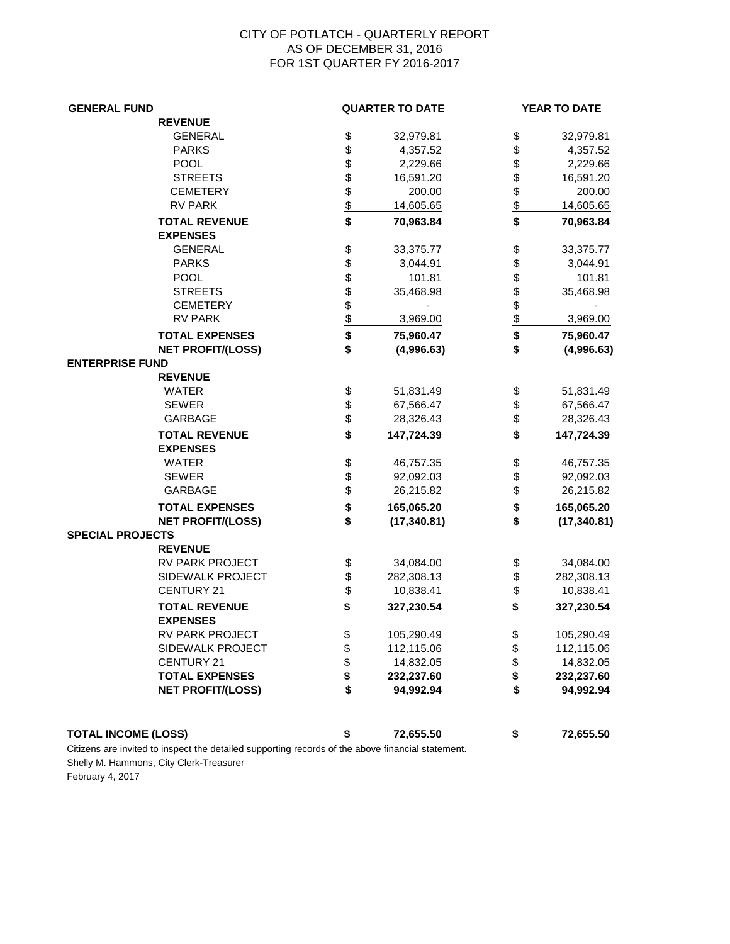## CITY OF POTLATCH - QUARTERLY REPORT AS OF DECEMBER 31, 2016 FOR 1ST QUARTER FY 2016-2017

| <b>GENERAL FUND</b>                     |                         | <b>QUARTER TO DATE</b> |                     | <b>YEAR TO DATE</b> |
|-----------------------------------------|-------------------------|------------------------|---------------------|---------------------|
| <b>REVENUE</b>                          |                         |                        |                     |                     |
| <b>GENERAL</b>                          |                         | 32,979.81              | \$                  | 32,979.81           |
| <b>PARKS</b>                            |                         | 4,357.52               | \$                  | 4,357.52            |
| POOL                                    |                         | 2,229.66               | \$                  | 2,229.66            |
| <b>STREETS</b>                          |                         | 16,591.20              | \$                  | 16,591.20           |
| <b>CEMETERY</b>                         |                         | 200.00                 | \$                  | 200.00              |
| <b>RV PARK</b>                          | \$<br>\$\$\$\$\$\$\$    | 14,605.65              | $\frac{1}{2}$       | 14,605.65           |
| <b>TOTAL REVENUE</b>                    |                         | 70,963.84              | \$                  | 70,963.84           |
| <b>EXPENSES</b>                         |                         |                        |                     |                     |
| <b>GENERAL</b>                          | \$                      | 33,375.77              | \$                  | 33,375.77           |
| <b>PARKS</b>                            | \$                      | 3,044.91               | \$                  | 3,044.91            |
| POOL                                    |                         | 101.81                 | \$                  | 101.81              |
| <b>STREETS</b>                          |                         | 35,468.98              | \$                  | 35,468.98           |
| <b>CEMETERY</b>                         |                         |                        | $\frac{6}{6}$       |                     |
| <b>RV PARK</b>                          | \$ \$ \$ \$ \$          | 3,969.00               |                     | 3,969.00            |
| <b>TOTAL EXPENSES</b>                   |                         | 75,960.47              | \$                  | 75,960.47           |
| <b>NET PROFIT/(LOSS)</b>                | \$                      | (4,996.63)             | \$                  | (4,996.63)          |
| <b>ENTERPRISE FUND</b>                  |                         |                        |                     |                     |
| <b>REVENUE</b>                          |                         |                        |                     |                     |
| <b>WATER</b>                            |                         | 51,831.49              | \$                  | 51,831.49           |
| <b>SEWER</b>                            | \$\$                    | 67,566.47              | \$                  | 67,566.47           |
| <b>GARBAGE</b>                          |                         | 28,326.43              | $\frac{1}{2}$       | 28,326.43           |
| <b>TOTAL REVENUE</b><br><b>EXPENSES</b> | $\overline{\mathbf{s}}$ | 147,724.39             | \$                  | 147,724.39          |
| <b>WATER</b>                            |                         | 46,757.35              |                     |                     |
| <b>SEWER</b>                            | \$                      |                        | \$                  | 46,757.35           |
| <b>GARBAGE</b>                          |                         | 92,092.03              | \$<br>$\frac{1}{2}$ | 92,092.03           |
|                                         | $rac{3}{2}$             | 26,215.82              |                     | 26,215.82           |
| <b>TOTAL EXPENSES</b>                   |                         | 165,065.20             | \$                  | 165,065.20          |
| <b>NET PROFIT/(LOSS)</b>                | \$                      | (17, 340.81)           | \$                  | (17, 340.81)        |
| <b>SPECIAL PROJECTS</b>                 |                         |                        |                     |                     |
| <b>REVENUE</b>                          |                         |                        |                     |                     |
| RV PARK PROJECT                         | \$                      | 34,084.00              | \$                  | 34,084.00           |
| SIDEWALK PROJECT                        | \$                      | 282,308.13             | \$                  | 282,308.13          |
| <b>CENTURY 21</b>                       | $\frac{1}{2}$           | 10,838.41              | $\frac{1}{2}$       | 10,838.41           |
| <b>TOTAL REVENUE</b>                    | \$                      | 327,230.54             | \$                  | 327,230.54          |
| <b>EXPENSES</b>                         |                         |                        |                     |                     |
| RV PARK PROJECT                         | \$                      | 105,290.49             | \$                  | 105,290.49          |
| SIDEWALK PROJECT                        | \$\$                    | 112,115.06             | \$                  | 112,115.06          |
| <b>CENTURY 21</b>                       |                         | 14,832.05              | \$                  | 14,832.05           |
| <b>TOTAL EXPENSES</b>                   |                         | 232,237.60             | \$                  | 232,237.60          |
| <b>NET PROFIT/(LOSS)</b>                | \$                      | 94,992.94              | \$                  | 94,992.94           |
| <b>TOTAL INCOME (LOSS)</b>              | \$                      | 72,655.50              | \$                  | 72,655.50           |

Citizens are invited to inspect the detailed supporting records of the above financial statement. Shelly M. Hammons, City Clerk-Treasurer February 4, 2017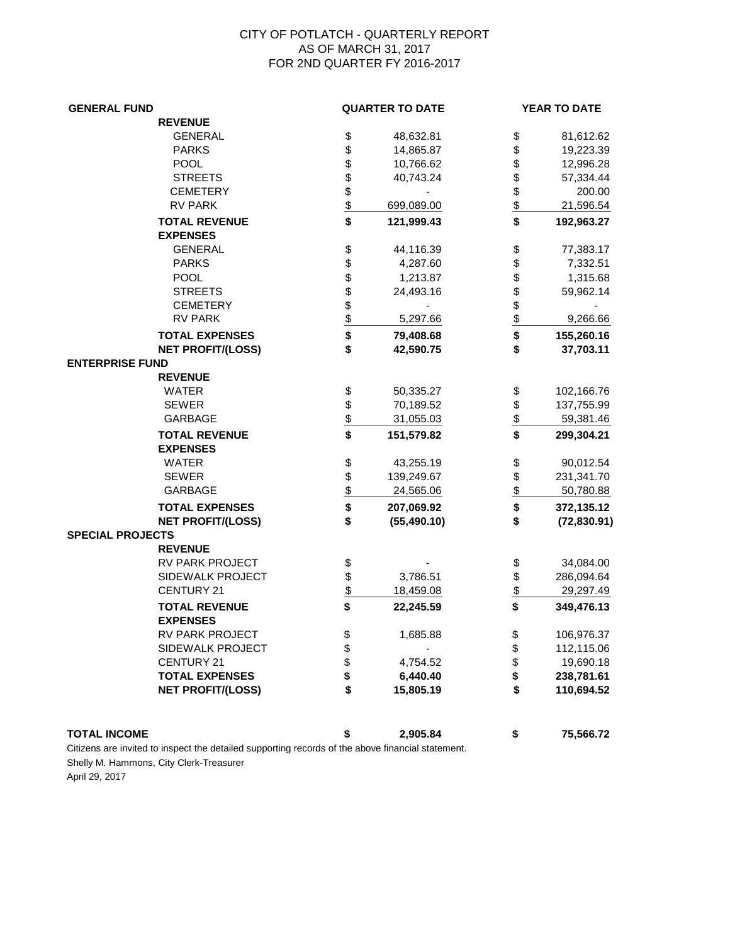## CITY OF POTLATCH - QUARTERLY REPORT AS OF MARCH 31, 2017 FOR 2ND QUARTER FY 2016-2017

| <b>GENERAL FUND</b>     |                                         |                         | <b>QUARTER TO DATE</b> |               | YEAR TO DATE |  |
|-------------------------|-----------------------------------------|-------------------------|------------------------|---------------|--------------|--|
|                         | <b>REVENUE</b>                          |                         |                        |               |              |  |
|                         | <b>GENERAL</b>                          |                         | 48,632.81              | \$            | 81,612.62    |  |
|                         | <b>PARKS</b>                            |                         | 14,865.87              | \$            | 19,223.39    |  |
|                         | <b>POOL</b>                             |                         | 10,766.62              | \$            | 12,996.28    |  |
|                         | <b>STREETS</b>                          |                         | 40,743.24              |               | 57,334.44    |  |
|                         | <b>CEMETERY</b>                         | \$\$\$\$\$\$\$          |                        | \$\$          | 200.00       |  |
|                         | <b>RV PARK</b>                          |                         | 699,089.00             |               | 21,596.54    |  |
|                         | <b>TOTAL REVENUE</b>                    | \$                      | 121,999.43             | \$            | 192,963.27   |  |
|                         | <b>EXPENSES</b>                         |                         |                        |               |              |  |
|                         | <b>GENERAL</b>                          |                         | 44,116.39              | \$            | 77,383.17    |  |
|                         | <b>PARKS</b>                            | 888888                  | 4,287.60               | \$<br>\$      | 7,332.51     |  |
|                         | <b>POOL</b>                             |                         | 1,213.87               |               | 1,315.68     |  |
|                         | <b>STREETS</b>                          |                         | 24,493.16              | \$            | 59,962.14    |  |
|                         | <b>CEMETERY</b>                         |                         |                        | $\frac{1}{2}$ |              |  |
|                         | <b>RV PARK</b>                          |                         | 5,297.66               |               | 9,266.66     |  |
|                         | <b>TOTAL EXPENSES</b>                   | $\overline{\bullet}$    | 79,408.68              | \$            | 155,260.16   |  |
|                         | <b>NET PROFIT/(LOSS)</b>                | \$                      | 42,590.75              | \$            | 37,703.11    |  |
| <b>ENTERPRISE FUND</b>  |                                         |                         |                        |               |              |  |
|                         | <b>REVENUE</b>                          |                         |                        |               |              |  |
|                         | <b>WATER</b>                            | \$                      | 50,335.27              | \$            | 102,166.76   |  |
|                         | <b>SEWER</b>                            | \$                      | 70,189.52              | \$            | 137,755.99   |  |
|                         | GARBAGE                                 | $\frac{1}{2}$           | 31,055.03              | $\frac{1}{2}$ | 59,381.46    |  |
|                         | <b>TOTAL REVENUE</b><br><b>EXPENSES</b> | $\overline{\mathbf{s}}$ | 151,579.82             | \$            | 299,304.21   |  |
|                         | <b>WATER</b>                            | \$                      | 43,255.19              | \$            | 90,012.54    |  |
|                         | <b>SEWER</b>                            |                         | 139,249.67             |               | 231,341.70   |  |
|                         | GARBAGE                                 |                         | 24,565.06              | $\frac{3}{2}$ | 50,780.88    |  |
|                         | <b>TOTAL EXPENSES</b>                   | $\frac{6}{9}$           | 207,069.92             | \$            | 372,135.12   |  |
|                         | <b>NET PROFIT/(LOSS)</b>                | \$                      | (55, 490.10)           | \$            | (72, 830.91) |  |
| <b>SPECIAL PROJECTS</b> |                                         |                         |                        |               |              |  |
|                         | <b>REVENUE</b>                          |                         |                        |               |              |  |
|                         | RV PARK PROJECT                         | \$                      |                        | \$            | 34,084.00    |  |
|                         | SIDEWALK PROJECT                        | \$                      | 3,786.51               | \$            | 286,094.64   |  |
|                         | <b>CENTURY 21</b>                       | $\frac{1}{2}$           | 18,459.08              | \$            | 29,297.49    |  |
|                         | <b>TOTAL REVENUE</b><br><b>EXPENSES</b> | \$                      | 22,245.59              | \$            | 349,476.13   |  |
|                         | RV PARK PROJECT                         |                         | 1,685.88               |               | 106,976.37   |  |
|                         | SIDEWALK PROJECT                        | \$                      |                        | Ф<br>\$       | 112,115.06   |  |
|                         | <b>CENTURY 21</b>                       | \$\$                    | 4,754.52               | \$            | 19,690.18    |  |
|                         | <b>TOTAL EXPENSES</b>                   |                         | 6,440.40               | \$            | 238,781.61   |  |
|                         | <b>NET PROFIT/(LOSS)</b>                | \$                      | 15,805.19              | \$            | 110,694.52   |  |
|                         |                                         |                         |                        |               |              |  |
| <b>TOTAL INCOME</b>     |                                         | \$                      | 2,905.84               | \$            | 75,566.72    |  |

Citizens are invited to inspect the detailed supporting records of the above financial statement. Shelly M. Hammons, City Clerk-Treasurer

April 29, 2017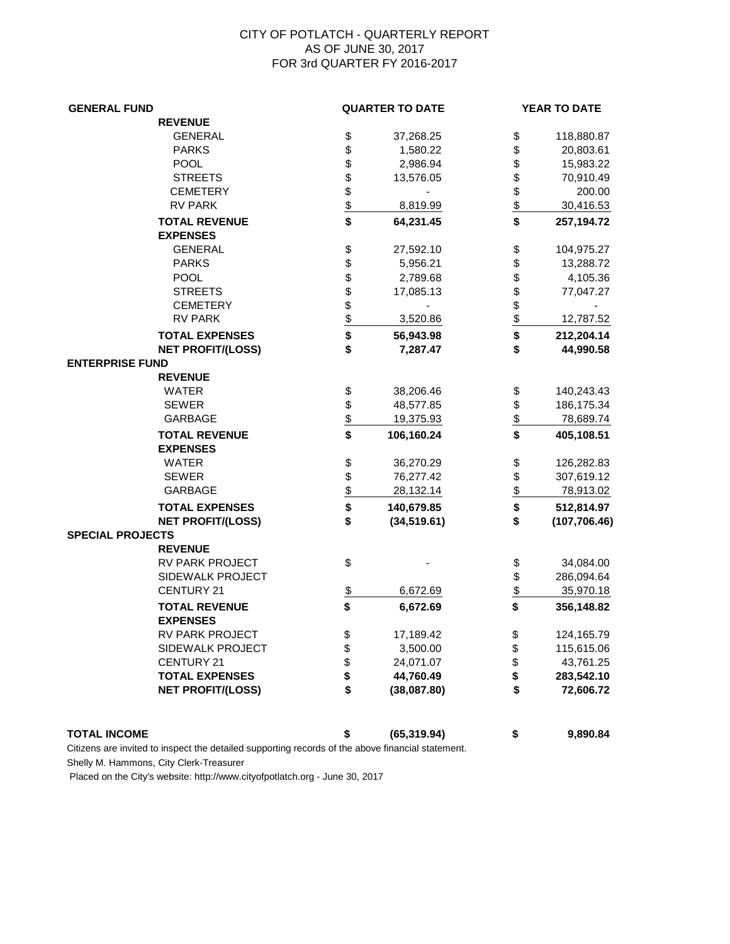## CITY OF POTLATCH - QUARTERLY REPORT AS OF JUNE 30, 2017 FOR 3rd QUARTER FY 2016-2017

| <b>GENERAL FUND</b>      |                         | <b>QUARTER TO DATE</b> |               | YEAR TO DATE  |  |
|--------------------------|-------------------------|------------------------|---------------|---------------|--|
| <b>REVENUE</b>           |                         |                        |               |               |  |
| <b>GENERAL</b>           | \$                      | 37,268.25              | \$            | 118,880.87    |  |
| <b>PARKS</b>             | \$                      | 1,580.22               | \$            | 20,803.61     |  |
| <b>POOL</b>              | \$                      | 2,986.94               | \$            | 15,983.22     |  |
| <b>STREETS</b>           | \$\$                    | 13,576.05              | \$            | 70,910.49     |  |
| <b>CEMETERY</b>          |                         |                        | \$<br>\$      | 200.00        |  |
| <b>RV PARK</b>           |                         | 8,819.99               |               | 30,416.53     |  |
| <b>TOTAL REVENUE</b>     | $\overline{\mathbf{S}}$ | 64,231.45              | \$            | 257,194.72    |  |
| <b>EXPENSES</b>          |                         |                        |               |               |  |
| <b>GENERAL</b>           |                         | 27,592.10              | \$            | 104,975.27    |  |
| <b>PARKS</b>             | 568888                  | 5,956.21               | \$            | 13,288.72     |  |
| <b>POOL</b>              |                         | 2,789.68               | \$            | 4,105.36      |  |
| <b>STREETS</b>           |                         | 17,085.13              | \$<br>\$      | 77,047.27     |  |
| <b>CEMETERY</b>          |                         |                        |               |               |  |
| <b>RV PARK</b>           |                         | 3,520.86               | $\frac{1}{2}$ | 12,787.52     |  |
| <b>TOTAL EXPENSES</b>    | \$                      | 56,943.98              | \$            | 212,204.14    |  |
| <b>NET PROFIT/(LOSS)</b> | \$                      | 7,287.47               | \$            | 44,990.58     |  |
| <b>ENTERPRISE FUND</b>   |                         |                        |               |               |  |
| <b>REVENUE</b>           |                         |                        |               |               |  |
| <b>WATER</b>             | \$                      | 38,206.46              | \$            | 140,243.43    |  |
| <b>SEWER</b>             |                         | 48,577.85              | \$            | 186,175.34    |  |
| GARBAGE                  | $\frac{1}{2}$           | 19,375.93              | \$            | 78,689.74     |  |
| <b>TOTAL REVENUE</b>     |                         | 106,160.24             | \$            | 405,108.51    |  |
| <b>EXPENSES</b>          |                         |                        |               |               |  |
| <b>WATER</b>             | \$                      | 36,270.29              | \$            | 126,282.83    |  |
| <b>SEWER</b>             | \$                      | 76,277.42              | \$            | 307,619.12    |  |
| <b>GARBAGE</b>           | $\frac{1}{2}$           | 28,132.14              | $\frac{1}{2}$ | 78,913.02     |  |
| <b>TOTAL EXPENSES</b>    | \$                      | 140,679.85             | \$            | 512,814.97    |  |
| <b>NET PROFIT/(LOSS)</b> | \$                      | (34, 519.61)           | \$            | (107, 706.46) |  |
| <b>SPECIAL PROJECTS</b>  |                         |                        |               |               |  |
| <b>REVENUE</b>           |                         |                        |               |               |  |
| RV PARK PROJECT          | \$                      |                        | \$            | 34,084.00     |  |
| SIDEWALK PROJECT         |                         |                        | \$            | 286,094.64    |  |
| <b>CENTURY 21</b>        | $\frac{1}{2}$           | 6,672.69               | $\frac{1}{2}$ | 35,970.18     |  |
| <b>TOTAL REVENUE</b>     | \$                      | 6,672.69               | \$            | 356,148.82    |  |
| <b>EXPENSES</b>          |                         |                        |               |               |  |
| RV PARK PROJECT          |                         | 17,189.42              | \$            | 124,165.79    |  |
| SIDEWALK PROJECT         | \$\$\$\$                | 3,500.00               | \$            | 115,615.06    |  |
| <b>CENTURY 21</b>        |                         | 24,071.07              | \$<br>\$      | 43,761.25     |  |
| <b>TOTAL EXPENSES</b>    |                         | 44,760.49              |               | 283,542.10    |  |
| <b>NET PROFIT/(LOSS)</b> | \$                      | (38,087.80)            | \$            | 72,606.72     |  |
|                          |                         |                        |               |               |  |

**TOTAL INCOME \$ (65,319.94) \$ 9,890.84**

Citizens are invited to inspect the detailed supporting records of the above financial statement. Shelly M. Hammons, City Clerk-Treasurer

Placed on the City's website: http://www.cityofpotlatch.org - June 30, 2017